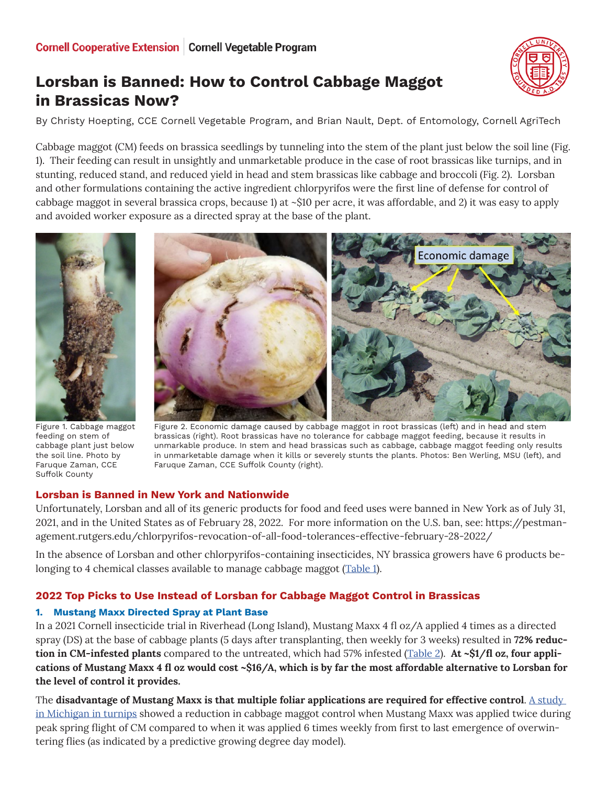# **Lorsban is Banned: How to Control Cabbage Maggot in Brassicas Now?**

By Christy Hoepting, CCE Cornell Vegetable Program, and Brian Nault, Dept. of Entomology, Cornell AgriTech

Cabbage maggot (CM) feeds on brassica seedlings by tunneling into the stem of the plant just below the soil line (Fig. 1). Their feeding can result in unsightly and unmarketable produce in the case of root brassicas like turnips, and in stunting, reduced stand, and reduced yield in head and stem brassicas like cabbage and broccoli (Fig. 2). Lorsban and other formulations containing the active ingredient chlorpyrifos were the first line of defense for control of cabbage maggot in several brassica crops, because 1) at ~\$10 per acre, it was affordable, and 2) it was easy to apply and avoided worker exposure as a directed spray at the base of the plant.



Figure 1. Cabbage maggot feeding on stem of cabbage plant just below the soil line. Photo by Faruque Zaman, CCE Suffolk County



Figure 2. Economic damage caused by cabbage maggot in root brassicas (left) and in head and stem brassicas (right). Root brassicas have no tolerance for cabbage maggot feeding, because it results in unmarkable produce. In stem and head brassicas such as cabbage, cabbage maggot feeding only results in unmarketable damage when it kills or severely stunts the plants. Photos: Ben Werling, MSU (left), and Faruque Zaman, CCE Suffolk County (right).

# **Lorsban is Banned in New York and Nationwide**

Unfortunately, Lorsban and all of its generic products for food and feed uses were banned in New York as of July 31, 2021, and in the United States as of February 28, 2022. For more information on the U.S. ban, see: https://pestmanagement.rutgers.edu/chlorpyrifos-revocation-of-all-food-tolerances-effective-february-28-2022/

In the absence of Lorsban and other chlorpyrifos-containing insecticides, NY brassica growers have 6 products be-longing to 4 chemical classes available to manage cabbage maggot [\(Table 1\)](#page-4-0).

# **2022 Top Picks to Use Instead of Lorsban for Cabbage Maggot Control in Brassicas**

# **1. Mustang Maxx Directed Spray at Plant Base**

In a 2021 Cornell insecticide trial in Riverhead (Long Island), Mustang Maxx 4 fl oz/A applied 4 times as a directed spray (DS) at the base of cabbage plants (5 days after transplanting, then weekly for 3 weeks) resulted in **72% reduction in CM-infested plants** compared to the untreated, which had 57% infested ([Table 2](#page-5-0)). **At ~\$1/fl oz, four applications of Mustang Maxx 4 fl oz would cost ~\$16/A, which is by far the most affordable alternative to Lorsban for the level of control it provides.** 

The **disadvantage of Mustang Maxx is that multiple foliar applications are required for effective control**. [A study](https://www.canr.msu.edu/news/lorsban-alternatives-for-cabbage-maggot-control-2019-trials)  [in Michigan in turnips](https://www.canr.msu.edu/news/lorsban-alternatives-for-cabbage-maggot-control-2019-trials) showed a reduction in cabbage maggot control when Mustang Maxx was applied twice during peak spring flight of CM compared to when it was applied 6 times weekly from first to last emergence of overwintering flies (as indicated by a predictive growing degree day model).

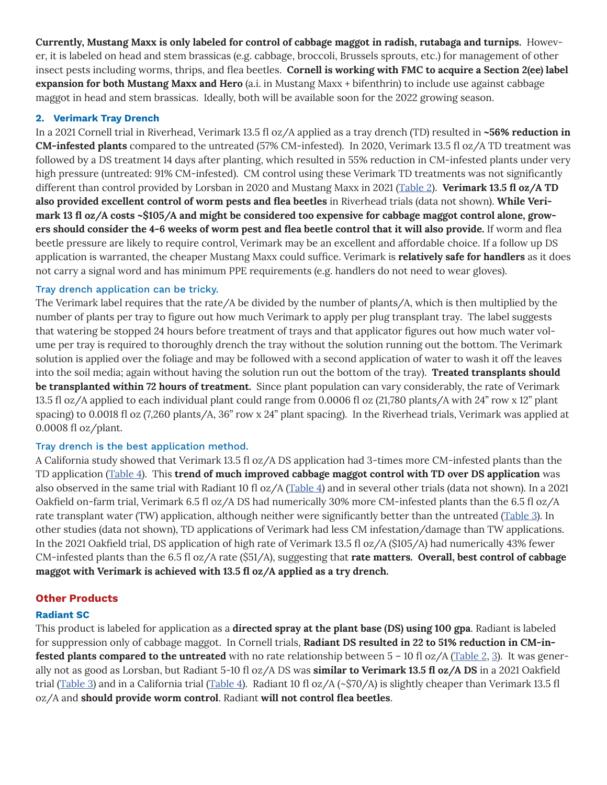**Currently, Mustang Maxx is only labeled for control of cabbage maggot in radish, rutabaga and turnips.** However, it is labeled on head and stem brassicas (e.g. cabbage, broccoli, Brussels sprouts, etc.) for management of other insect pests including worms, thrips, and flea beetles. **Cornell is working with FMC to acquire a Section 2(ee) label expansion for both Mustang Maxx and Hero** (a.i. in Mustang Maxx + bifenthrin) to include use against cabbage maggot in head and stem brassicas. Ideally, both will be available soon for the 2022 growing season.

#### **2. Verimark Tray Drench**

In a 2021 Cornell trial in Riverhead, Verimark 13.5 fl oz/A applied as a tray drench (TD) resulted in **~56% reduction in CM-infested plants** compared to the untreated (57% CM-infested). In 2020, Verimark 13.5 fl oz/A TD treatment was followed by a DS treatment 14 days after planting, which resulted in 55% reduction in CM-infested plants under very high pressure (untreated: 91% CM-infested). CM control using these Verimark TD treatments was not significantly different than control provided by Lorsban in 2020 and Mustang Maxx in 2021 ([Table 2\)](#page-5-0). **Verimark 13.5 fl oz/A TD also provided excellent control of worm pests and flea beetles** in Riverhead trials (data not shown). **While Verimark 13 fl oz/A costs ~\$105/A and might be considered too expensive for cabbage maggot control alone, growers should consider the 4-6 weeks of worm pest and flea beetle control that it will also provide.** If worm and flea beetle pressure are likely to require control, Verimark may be an excellent and affordable choice. If a follow up DS application is warranted, the cheaper Mustang Maxx could suffice. Verimark is **relatively safe for handlers** as it does not carry a signal word and has minimum PPE requirements (e.g. handlers do not need to wear gloves).

### Tray drench application can be tricky.

The Verimark label requires that the rate/A be divided by the number of plants/A, which is then multiplied by the number of plants per tray to figure out how much Verimark to apply per plug transplant tray. The label suggests that watering be stopped 24 hours before treatment of trays and that applicator figures out how much water volume per tray is required to thoroughly drench the tray without the solution running out the bottom. The Verimark solution is applied over the foliage and may be followed with a second application of water to wash it off the leaves into the soil media; again without having the solution run out the bottom of the tray). **Treated transplants should be transplanted within 72 hours of treatment.** Since plant population can vary considerably, the rate of Verimark 13.5 fl oz/A applied to each individual plant could range from 0.0006 fl oz (21,780 plants/A with 24" row x 12" plant spacing) to 0.0018 fl oz (7,260 plants/A, 36" row x 24" plant spacing). In the Riverhead trials, Verimark was applied at 0.0008 fl oz/plant.

# Tray drench is the best application method.

A California study showed that Verimark 13.5 fl oz/A DS application had 3-times more CM-infested plants than the TD application ([Table 4\)](#page-6-0). This **trend of much improved cabbage maggot control with TD over DS application** was also observed in the same trial with Radiant 10 fl oz/A ([Table 4\)](#page-6-0) and in several other trials (data not shown). In a 2021 Oakfield on-farm trial, Verimark 6.5 fl oz/A DS had numerically 30% more CM-infested plants than the 6.5 fl oz/A rate transplant water (TW) application, although neither were significantly better than the untreated ([Table 3\)](#page-6-0). In other studies (data not shown), TD applications of Verimark had less CM infestation/damage than TW applications. In the 2021 Oakfield trial, DS application of high rate of Verimark 13.5 fl oz/A (\$105/A) had numerically 43% fewer CM-infested plants than the 6.5 fl oz/A rate (\$51/A), suggesting that **rate matters. Overall, best control of cabbage maggot with Verimark is achieved with 13.5 fl oz/A applied as a try drench.**

# **Other Products**

#### **Radiant SC**

This product is labeled for application as a **directed spray at the plant base (DS) using 100 gpa**. Radiant is labeled for suppression only of cabbage maggot. In Cornell trials, **Radiant DS resulted in 22 to 51% reduction in CM-infested plants compared to the untreated** with no rate relationship between 5 – 10 fl oz/A ([Table 2](#page-5-0), [3\)](#page-6-0). It was generally not as good as Lorsban, but Radiant 5-10 fl oz/A DS was **similar to Verimark 13.5 fl oz/A DS** in a 2021 Oakfield trial ([Table 3\)](#page-6-0) and in a California trial [\(Table 4](#page-6-0)). Radiant 10 fl oz/A (~\$70/A) is slightly cheaper than Verimark 13.5 fl oz/A and **should provide worm control**. Radiant **will not control flea beetles**.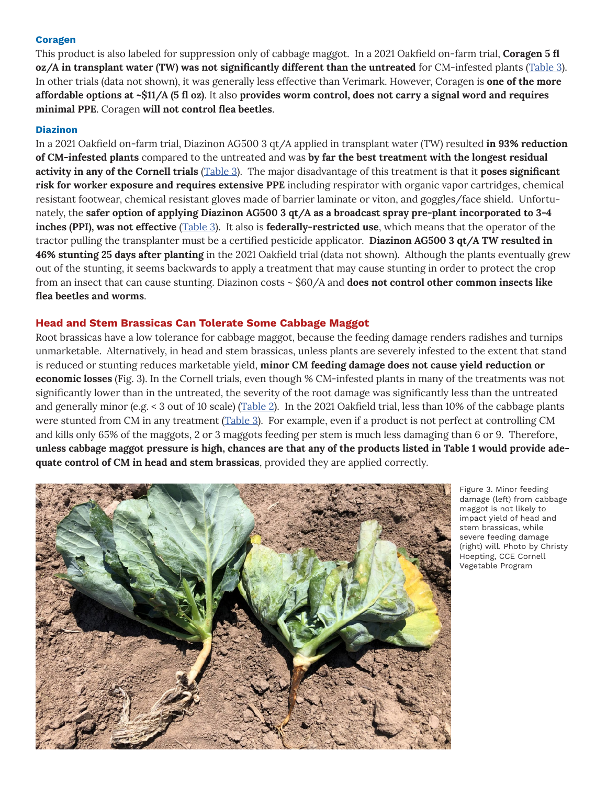#### **Coragen**

This product is also labeled for suppression only of cabbage maggot. In a 2021 Oakfield on-farm trial, **Coragen 5 fl oz/A in transplant water (TW) was not significantly different than the untreated** for CM-infested plants ([Table 3\)](#page-6-0). In other trials (data not shown), it was generally less effective than Verimark. However, Coragen is **one of the more affordable options at ~\$11/A (5 fl oz)**. It also **provides worm control, does not carry a signal word and requires minimal PPE**. Coragen **will not control flea beetles**.

#### **Diazinon**

In a 2021 Oakfield on-farm trial, Diazinon AG500 3 qt/A applied in transplant water (TW) resulted **in 93% reduction of CM-infested plants** compared to the untreated and was **by far the best treatment with the longest residual activity in any of the Cornell trials** ([Table 3](#page-6-0)). The major disadvantage of this treatment is that it **poses significant risk for worker exposure and requires extensive PPE** including respirator with organic vapor cartridges, chemical resistant footwear, chemical resistant gloves made of barrier laminate or viton, and goggles/face shield. Unfortunately, the **safer option of applying Diazinon AG500 3 qt/A as a broadcast spray pre-plant incorporated to 3-4 inches (PPI), was not effective** ([Table 3](#page-6-0)). It also is **federally-restricted use**, which means that the operator of the tractor pulling the transplanter must be a certified pesticide applicator. **Diazinon AG500 3 qt/A TW resulted in 46% stunting 25 days after planting** in the 2021 Oakfield trial (data not shown). Although the plants eventually grew out of the stunting, it seems backwards to apply a treatment that may cause stunting in order to protect the crop from an insect that can cause stunting. Diazinon costs ~ \$60/A and **does not control other common insects like flea beetles and worms**.

#### **Head and Stem Brassicas Can Tolerate Some Cabbage Maggot**

Root brassicas have a low tolerance for cabbage maggot, because the feeding damage renders radishes and turnips unmarketable. Alternatively, in head and stem brassicas, unless plants are severely infested to the extent that stand is reduced or stunting reduces marketable yield, **minor CM feeding damage does not cause yield reduction or economic losses** (Fig. 3). In the Cornell trials, even though % CM-infested plants in many of the treatments was not significantly lower than in the untreated, the severity of the root damage was significantly less than the untreated and generally minor (e.g. < 3 out of 10 scale) [\(Table 2](#page-5-0)). In the 2021 Oakfield trial, less than 10% of the cabbage plants were stunted from CM in any treatment ([Table 3](#page-6-0)). For example, even if a product is not perfect at controlling CM and kills only 65% of the maggots, 2 or 3 maggots feeding per stem is much less damaging than 6 or 9. Therefore, **unless cabbage maggot pressure is high, chances are that any of the products listed in Table 1 would provide adequate control of CM in head and stem brassicas**, provided they are applied correctly.



Figure 3. Minor feeding damage (left) from cabbage maggot is not likely to impact yield of head and stem brassicas, while severe feeding damage (right) will. Photo by Christy Hoepting, CCE Cornell Vegetable Program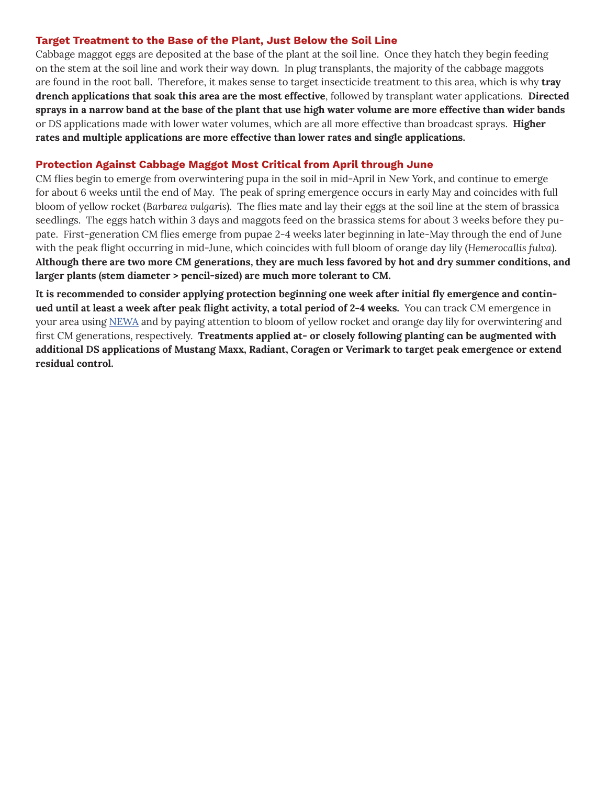#### **Target Treatment to the Base of the Plant, Just Below the Soil Line**

Cabbage maggot eggs are deposited at the base of the plant at the soil line. Once they hatch they begin feeding on the stem at the soil line and work their way down. In plug transplants, the majority of the cabbage maggots are found in the root ball. Therefore, it makes sense to target insecticide treatment to this area, which is why **tray drench applications that soak this area are the most effective**, followed by transplant water applications. **Directed sprays in a narrow band at the base of the plant that use high water volume are more effective than wider bands** or DS applications made with lower water volumes, which are all more effective than broadcast sprays. **Higher rates and multiple applications are more effective than lower rates and single applications.**

## **Protection Against Cabbage Maggot Most Critical from April through June**

CM flies begin to emerge from overwintering pupa in the soil in mid-April in New York, and continue to emerge for about 6 weeks until the end of May. The peak of spring emergence occurs in early May and coincides with full bloom of yellow rocket (*Barbarea vulgaris*). The flies mate and lay their eggs at the soil line at the stem of brassica seedlings. The eggs hatch within 3 days and maggots feed on the brassica stems for about 3 weeks before they pupate. First-generation CM flies emerge from pupae 2-4 weeks later beginning in late-May through the end of June with the peak flight occurring in mid-June, which coincides with full bloom of orange day lily (*Hemerocallis fulva*). **Although there are two more CM generations, they are much less favored by hot and dry summer conditions, and larger plants (stem diameter > pencil-sized) are much more tolerant to CM.** 

**It is recommended to consider applying protection beginning one week after initial fly emergence and continued until at least a week after peak flight activity, a total period of 2-4 weeks.** You can track CM emergence in your area using [NEWA](https://newa.cornell.edu/cabbage-maggot) and by paying attention to bloom of yellow rocket and orange day lily for overwintering and first CM generations, respectively. **Treatments applied at- or closely following planting can be augmented with additional DS applications of Mustang Maxx, Radiant, Coragen or Verimark to target peak emergence or extend residual control.**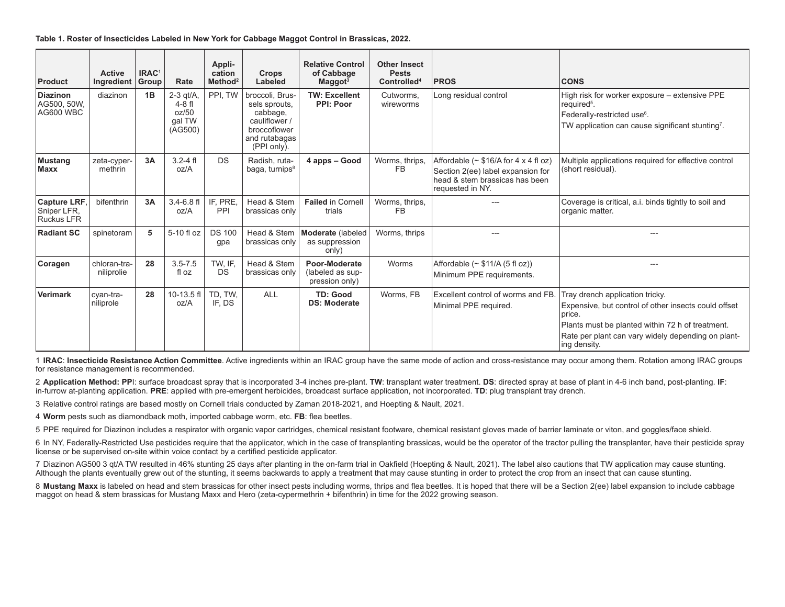<span id="page-4-0"></span>**Table 1. Roster of Insecticides Labeled in New York for Cabbage Maggot Control in Brassicas, 2022.**

| Product                                          | <b>Active</b><br>Ingredient | IRAC <sup>1</sup><br>Group | Rate                                                 | Appli-<br>cation<br>Method <sup>2</sup> | Crops<br>Labeled                                                                                              | <b>Relative Control</b><br>of Cabbage<br>$M$ aggot <sup>3</sup> | <b>Other Insect</b><br><b>Pests</b><br>Controlled <sup>4</sup> | <b>PROS</b>                                                                                                                            | <b>CONS</b>                                                                                                                                                                                                                  |
|--------------------------------------------------|-----------------------------|----------------------------|------------------------------------------------------|-----------------------------------------|---------------------------------------------------------------------------------------------------------------|-----------------------------------------------------------------|----------------------------------------------------------------|----------------------------------------------------------------------------------------------------------------------------------------|------------------------------------------------------------------------------------------------------------------------------------------------------------------------------------------------------------------------------|
| <b>Diazinon</b><br>AG500, 50W,<br>AG600 WBC      | diazinon                    | 1B                         | $2-3$ qt/A<br>$4-8$ fl<br>oz/50<br>gal TW<br>(AG500) | PPI, TW                                 | broccoli, Brus-<br>sels sprouts,<br>cabbage,<br>cauliflower /<br>broccoflower<br>and rutabagas<br>(PPI only). | <b>TW: Excellent</b><br><b>PPI: Poor</b>                        | Cutworms,<br>wireworms                                         | Long residual control                                                                                                                  | High risk for worker exposure - extensive PPE<br>required <sup>5</sup> .<br>Federally-restricted use <sup>6</sup> .<br>TW application can cause significant stunting <sup>7</sup> .                                          |
| Mustang<br><b>Maxx</b>                           | zeta-cyper-<br>methrin      | 3A                         | $3.2 - 4$ fl<br>oz/A                                 | <b>DS</b>                               | Radish, ruta-<br>baga, turnips <sup>8</sup>                                                                   | 4 apps - Good                                                   | Worms, thrips,<br>FB                                           | Affordable ( $\sim$ \$16/A for 4 x 4 fl oz)<br>Section 2(ee) label expansion for<br>head & stem brassicas has been<br>requested in NY. | Multiple applications required for effective control<br>(short residual).                                                                                                                                                    |
| Capture LRF,<br>Sniper LFR,<br><b>Ruckus LFR</b> | bifenthrin                  | 3A                         | $3.4 - 6.8$ fl<br>oz/A                               | IF, PRE,<br>PPI                         | Head & Stem<br>brassicas only                                                                                 | <b>Failed in Cornell</b><br>trials                              | Worms, thrips,<br>FB                                           |                                                                                                                                        | Coverage is critical, a.i. binds tightly to soil and<br>organic matter.                                                                                                                                                      |
| <b>Radiant SC</b>                                | spinetoram                  | 5                          | 5-10 fl oz                                           | <b>DS 100</b><br>gpa                    | Head & Stem<br>brassicas only                                                                                 | Moderate (labeled<br>as suppression<br>only)                    | Worms, thrips                                                  |                                                                                                                                        |                                                                                                                                                                                                                              |
| Coragen                                          | chloran-tra-<br>niliprolie  | 28                         | $3.5 - 7.5$<br>fl oz                                 | TW, IF,<br><b>DS</b>                    | Head & Stem<br>brassicas only                                                                                 | Poor-Moderate<br>(labeled as sup-<br>pression only)             | Worms                                                          | Affordable $(\sim $11/A (5 \text{ fl oz}))$<br>Minimum PPE requirements.                                                               | ---                                                                                                                                                                                                                          |
| Verimark                                         | cyan-tra-<br>niliprole      | 28                         | $10-13.5$ fl<br>oz/A                                 | TD, TW,<br>IF. DS                       | <b>ALL</b>                                                                                                    | <b>TD: Good</b><br><b>DS: Moderate</b>                          | Worms, FB                                                      | Excellent control of worms and FB.<br>Minimal PPE required.                                                                            | Tray drench application tricky.<br>Expensive, but control of other insects could offset<br>Iprice.<br>Plants must be planted within 72 h of treatment.<br>Rate per plant can vary widely depending on plant-<br>ing density. |

1 **IRAC**: **Insecticide Resistance Action Committee**. Active ingredients within an IRAC group have the same mode of action and cross-resistance may occur among them. Rotation among IRAC groups for resistance management is recommended.

2 **Application Method: PP**I: surface broadcast spray that is incorporated 3-4 inches pre-plant. TW: transplant water treatment. DS: directed spray at base of plant in 4-6 inch band, post-planting. IF: in-furrow at-planting application. **PRE**: applied with pre-emergent herbicides, broadcast surface application, not incorporated. **TD**: plug transplant tray drench.

3 Relative control ratings are based mostly on Cornell trials conducted by Zaman 2018-2021, and Hoepting & Nault, 2021.

4 **Worm** pests such as diamondback moth, imported cabbage worm, etc. **FB**: flea beetles.

5 PPE required for Diazinon includes a respirator with organic vapor cartridges, chemical resistant footware, chemical resistant gloves made of barrier laminate or viton, and goggles/face shield.

6 In NY, Federally-Restricted Use pesticides require that the applicator, which in the case of transplanting brassicas, would be the operator of the tractor pulling the transplanter, have their pesticide spray license or be supervised on-site within voice contact by a certified pesticide applicator.

7 Diazinon AG500 3 qt/A TW resulted in 46% stunting 25 days after planting in the on-farm trial in Oakfield (Hoepting & Nault, 2021). The label also cautions that TW application may cause stunting. Although the plants eventually grew out of the stunting, it seems backwards to apply a treatment that may cause stunting in order to protect the crop from an insect that can cause stunting.

8 Mustang Maxx is labeled on head and stem brassicas for other insect pests including worms, thrips and flea beetles. It is hoped that there will be a Section 2(ee) label expansion to include cabbage maggot on head & stem brassicas for Mustang Maxx and Hero (zeta-cypermethrin + bifenthrin) in time for the 2022 growing season.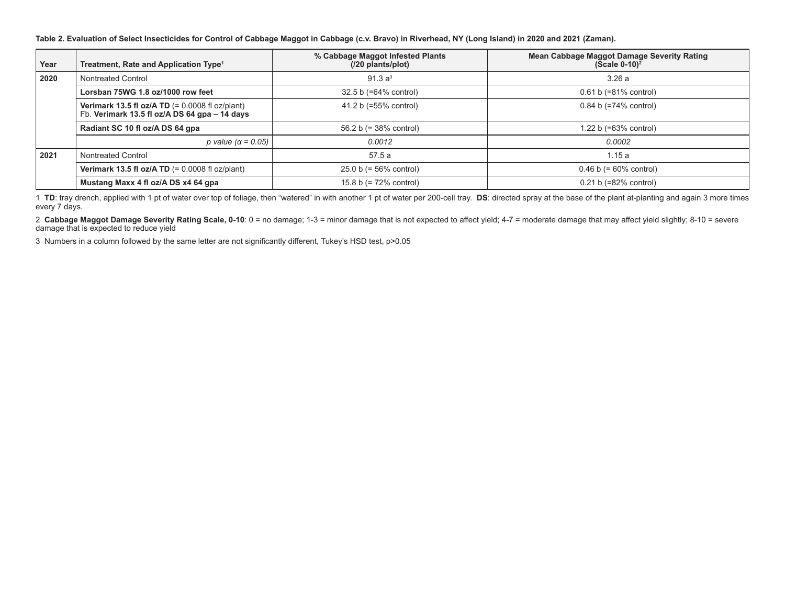<span id="page-5-0"></span>**Table 2. Evaluation of Select Insecticides for Control of Cabbage Maggot in Cabbage (c.v. Bravo) in Riverhead, NY (Long Island) in 2020 and 2021 (Zaman).**

| Year | Treatment, Rate and Application Type <sup>1</sup>                                                  | % Cabbage Maggot Infested Plants<br>(/20 plants/plot) | <b>Mean Cabbage Maggot Damage Severity Rating</b><br>$(Scale 0-10)^2$ |  |
|------|----------------------------------------------------------------------------------------------------|-------------------------------------------------------|-----------------------------------------------------------------------|--|
| 2020 | Nontreated Control                                                                                 | 91.3 a <sup>3</sup>                                   | 3.26 a                                                                |  |
|      | Lorsban 75WG 1.8 oz/1000 row feet                                                                  | 32.5 b (=64% control)                                 | $0.61 b (=81% control)$                                               |  |
|      | Verimark 13.5 fl oz/A TD $(= 0.0008$ fl oz/plant)<br>Fb. Verimark 13.5 fl oz/A DS 64 gpa - 14 days | 41.2 b (=55% control)                                 | $0.84 b (=74% control)$                                               |  |
|      | Radiant SC 10 fl oz/A DS 64 gpa                                                                    | 56.2 b $(= 38\% \text{ control})$                     | 1.22 b $(=63%$ control)                                               |  |
|      | p value ( $\alpha$ = 0.05)                                                                         | 0.0012                                                | 0.0002                                                                |  |
| 2021 | Nontreated Control                                                                                 | 57.5 a                                                | 1.15a                                                                 |  |
|      | Verimark 13.5 fl oz/A TD $(= 0.0008$ fl oz/plant)                                                  | $25.0 b (= 56\%$ control)                             | $0.46 b (= 60\%$ control)                                             |  |
|      | Mustang Maxx 4 fl oz/A DS x4 64 gpa                                                                | 15.8 b $(= 72\% \text{ control})$                     | $0.21 b (=82% control)$                                               |  |

1 **TD**: tray drench, applied with 1 pt of water over top of foliage, then "watered" in with another 1 pt of water per 200-cell tray. **DS**: directed spray at the base of the plant at-planting and again 3 more times every 7 days.

2 **Cabbage Maggot Damage Severity Rating Scale, 0-10**: 0 = no damage; 1-3 = minor damage that is not expected to affect yield; 4-7 = moderate damage that may affect yield slightly; 8-10 = severe damage that is expected to reduce yield

3 Numbers in a column followed by the same letter are not significantly different, Tukey's HSD test, p>0.05